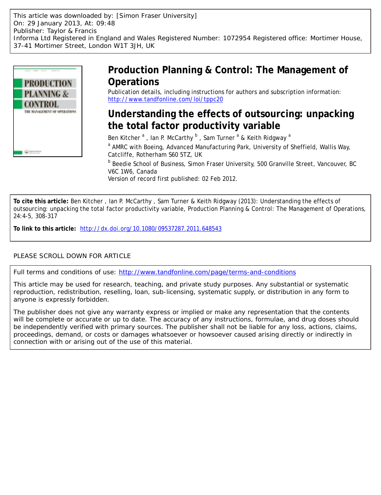

## **Production Planning & Control: The Management of Operations**

Publication details, including instructions for authors and subscription information: <http://www.tandfonline.com/loi/tppc20>

# **Understanding the effects of outsourcing: unpacking the total factor productivity variable**

Ben Kitcher <sup>a</sup>, Ian P. McCarthy <sup>b</sup>, Sam Turner <sup>a</sup> & Keith Ridgway <sup>a</sup>

<sup>a</sup> AMRC with Boeing, Advanced Manufacturing Park, University of Sheffield, Wallis Way, Catcliffe, Rotherham S60 5TZ, UK

**b** Beedie School of Business, Simon Fraser University, 500 Granville Street, Vancouver, BC V6C 1W6, Canada

Version of record first published: 02 Feb 2012.

**To cite this article:** Ben Kitcher , Ian P. McCarthy , Sam Turner & Keith Ridgway (2013): Understanding the effects of outsourcing: unpacking the total factor productivity variable, Production Planning & Control: The Management of Operations, 24:4-5, 308-317

**To link to this article:** <http://dx.doi.org/10.1080/09537287.2011.648543>

### PLEASE SCROLL DOWN FOR ARTICLE

Full terms and conditions of use:<http://www.tandfonline.com/page/terms-and-conditions>

This article may be used for research, teaching, and private study purposes. Any substantial or systematic reproduction, redistribution, reselling, loan, sub-licensing, systematic supply, or distribution in any form to anyone is expressly forbidden.

The publisher does not give any warranty express or implied or make any representation that the contents will be complete or accurate or up to date. The accuracy of any instructions, formulae, and drug doses should be independently verified with primary sources. The publisher shall not be liable for any loss, actions, claims, proceedings, demand, or costs or damages whatsoever or howsoever caused arising directly or indirectly in connection with or arising out of the use of this material.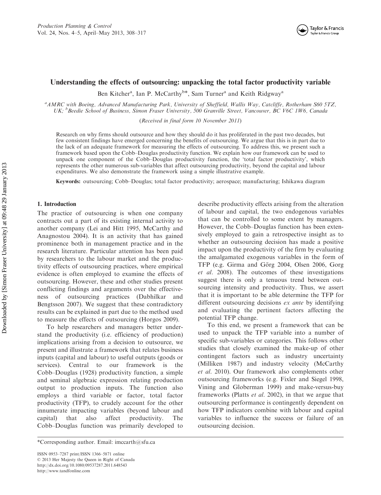

#### Understanding the effects of outsourcing: unpacking the total factor productivity variable

Ben Kitcher<sup>a</sup>, Ian P. McCarthy<sup>b\*</sup>, Sam Turner<sup>a</sup> and Keith Ridgway<sup>a</sup>

<sup>a</sup> AMRC with Boeing, Advanced Manufacturing Park, University of Sheffield, Wallis Way, Catcliffe, Rotherham S60 5TZ, UK; <sup>b</sup>Beedie School of Business, Simon Fraser University, 500 Granville Street, Vancouver, BC V6C 1W6, Canada

(Received in final form 10 November 2011)

Research on why firms should outsource and how they should do it has proliferated in the past two decades, but few consistent findings have emerged concerning the benefits of outsourcing. We argue that this is in part due to the lack of an adequate framework for measuring the effects of outsourcing. To address this, we present such a framework based upon the Cobb–Douglas productivity function. We explain how our framework can be used to unpack one component of the Cobb–Douglas productivity function, the 'total factor productivity', which represents the other numerous sub-variables that affect outsourcing productivity, beyond the capital and labour expenditures. We also demonstrate the framework using a simple illustrative example.

Keywords: outsourcing; Cobb–Douglas; total factor productivity; aerospace; manufacturing; Ishikawa diagram

#### 1. Introduction

The practice of outsourcing is when one company contracts out a part of its existing internal activity to another company (Lei and Hitt 1995, McCarthy and Anagnostou 2004). It is an activity that has gained prominence both in management practice and in the research literature. Particular attention has been paid by researchers to the labour market and the productivity effects of outsourcing practices, where empirical evidence is often employed to examine the effects of outsourcing. However, these and other studies present conflicting findings and arguments over the effectiveness of outsourcing practices (Dabhilkar and Bengtsson 2007). We suggest that these contradictory results can be explained in part due to the method used to measure the effects of outsourcing (Horgos 2009).

To help researchers and managers better understand the productivity (i.e. efficiency of production) implications arising from a decision to outsource, we present and illustrate a framework that relates business inputs (capital and labour) to useful outputs (goods or services). Central to our framework is the Cobb–Douglas (1928) productivity function, a simple and seminal algebraic expression relating production output to production inputs. The function also employs a third variable or factor, total factor productivity (TFP), to crudely account for the other innumerate impacting variables (beyond labour and capital) that also affect productivity. The Cobb–Douglas function was primarily developed to

describe productivity effects arising from the alteration of labour and capital, the two endogenous variables that can be controlled to some extent by managers. However, the Cobb–Douglas function has been extensively employed to gain a retrospective insight as to whether an outsourcing decision has made a positive impact upon the productivity of the firm by evaluating the amalgamated exogenous variables in the form of TFP (e.g. Girma and Görg 2004, Olsen 2006, Gorg et al. 2008). The outcomes of these investigations suggest there is only a tenuous trend between outsourcing intensity and productivity. Thus, we assert that it is important to be able determine the TFP for different outsourcing decisions *ex ante* by identifying and evaluating the pertinent factors affecting the potential TFP change.

To this end, we present a framework that can be used to unpack the TFP variable into a number of specific sub-variables or categories. This follows other studies that closely examined the make-up of other contingent factors such as industry uncertainty (Milliken 1987) and industry velocity (McCarthy et al. 2010). Our framework also complements other outsourcing frameworks (e.g. Fixler and Siegel 1998, Vining and Globerman 1999) and make-versus-buy frameworks (Platts *et al.* 2002), in that we argue that outsourcing performance is contingently dependent on how TFP indicators combine with labour and capital variables to influence the success or failure of an outsourcing decision.

<sup>\*</sup>Corresponding author. Email: imccarth@sfu.ca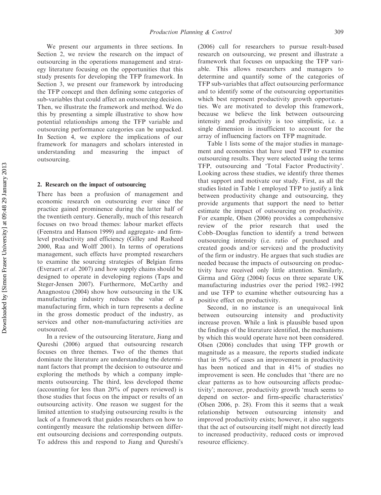We present our arguments in three sections. In Section 2, we review the research on the impact of outsourcing in the operations management and strategy literature focusing on the opportunities that this study presents for developing the TFP framework. In Section 3, we present our framework by introducing the TFP concept and then defining some categories of sub-variables that could affect an outsourcing decision. Then, we illustrate the framework and method. We do this by presenting a simple illustrative to show how potential relationships among the TFP variable and outsourcing performance categories can be unpacked. In Section 4, we explore the implications of our framework for managers and scholars interested in understanding and measuring the impact of outsourcing.

#### 2. Research on the impact of outsourcing

There has been a profusion of management and economic research on outsourcing ever since the practice gained prominence during the latter half of the twentieth century. Generally, much of this research focuses on two broad themes: labour market effects (Feenstra and Hanson 1999) and aggregate- and firmlevel productivity and efficiency (Gilley and Rasheed 2000, Raa and Wolff 2001). In terms of operations management, such effects have prompted researchers to examine the sourcing strategies of Belgian firms (Everaert et al. 2007) and how supply chains should be designed to operate in developing regions (Taps and Steger-Jensen 2007). Furthermore, McCarthy and Anagnostou (2004) show how outsourcing in the UK manufacturing industry reduces the value of a manufacturing firm, which in turn represents a decline in the gross domestic product of the industry, as services and other non-manufacturing activities are outsourced.

In a review of the outsourcing literature, Jiang and Qureshi (2006) argued that outsourcing research focuses on three themes. Two of the themes that dominate the literature are understanding the determinant factors that prompt the decision to outsource and exploring the methods by which a company implements outsourcing. The third, less developed theme (accounting for less than 20% of papers reviewed) is those studies that focus on the impact or results of an outsourcing activity. One reason we suggest for the limited attention to studying outsourcing results is the lack of a framework that guides researchers on how to contingently measure the relationship between different outsourcing decisions and corresponding outputs. To address this and respond to Jiang and Qureshi's (2006) call for researchers to pursue result-based research on outsourcing, we present and illustrate a framework that focuses on unpacking the TFP variable. This allows researchers and managers to determine and quantify some of the categories of TFP sub-variables that affect outsourcing performance and to identify some of the outsourcing opportunities which best represent productivity growth opportunities. We are motivated to develop this framework, because we believe the link between outsourcing intensity and productivity is too simplistic, i.e. a single dimension is insufficient to account for the array of influencing factors on TFP magnitude.

Table 1 lists some of the major studies in management and economics that have used TFP to examine outsourcing results. They were selected using the terms TFP, outsourcing and 'Total Factor Productivity'. Looking across these studies, we identify three themes that support and motivate our study. First, as all the studies listed in Table 1 employed TFP to justify a link between productivity change and outsourcing, they provide arguments that support the need to better estimate the impact of outsourcing on productivity. For example, Olsen (2006) provides a comprehensive review of the prior research that used Cobb–Douglas function to identify a trend between outsourcing intensity (i.e. ratio of purchased and created goods and/or services) and the productivity of the firm or industry. He argues that such studies are needed because the impacts of outsourcing on productivity have received only little attention. Similarly, Girma and Görg  $(2004)$  focus on three separate UK manufacturing industries over the period 1982–1992 and use TFP to examine whether outsourcing has a positive effect on productivity.

Second, in no instance is an unequivocal link between outsourcing intensity and productivity increase proven. While a link is plausible based upon the findings of the literature identified, the mechanisms by which this would operate have not been considered. Olsen (2006) concludes that using TFP growth or magnitude as a measure, the reports studied indicate that in 59% of cases an improvement in productivity has been noticed and that in 41% of studies no improvement is seen. He concludes that 'there are no clear patterns as to how outsourcing affects productivity'; moreover, productivity growth 'much seems to depend on sector- and firm-specific characteristics' (Olsen 2006, p. 28). From this it seems that a weak relationship between outsourcing intensity and improved productivity exists; however, it also suggests that the act of outsourcing itself might not directly lead to increased productivity, reduced costs or improved resource efficiency.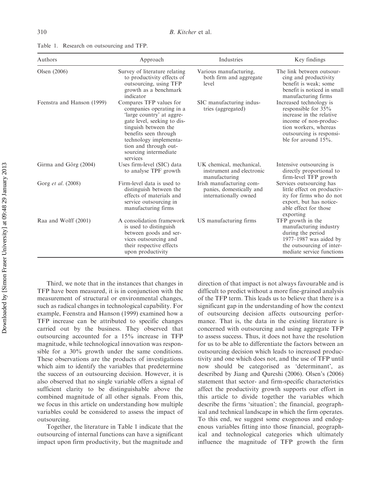|  |  | Table 1. Research on outsourcing and TFP. |  |
|--|--|-------------------------------------------|--|
|--|--|-------------------------------------------|--|

| Authors                    | Approach                                                                                                                                                                                                                                                 | Industries                                                                    | Key findings                                                                                                                                                                        |
|----------------------------|----------------------------------------------------------------------------------------------------------------------------------------------------------------------------------------------------------------------------------------------------------|-------------------------------------------------------------------------------|-------------------------------------------------------------------------------------------------------------------------------------------------------------------------------------|
| Olsen (2006)               | Survey of literature relating<br>to productivity effects of<br>outsourcing, using TFP<br>growth as a benchmark<br>indicator                                                                                                                              | Various manufacturing,<br>both firm and aggregate<br>level                    | The link between outsour-<br>cing and productivity<br>benefit is weak; some<br>benefit is noticed in small<br>manufacturing firms                                                   |
| Feenstra and Hanson (1999) | Compares TFP values for<br>companies operating in a<br>'large country' at aggre-<br>gate level, seeking to dis-<br>tinguish between the<br>benefits seen through<br>technology implementa-<br>tion and through out-<br>sourcing intermediate<br>services | SIC manufacturing indus-<br>tries (aggregated)                                | Increased technology is<br>responsible for 35%<br>increase in the relative<br>income of non-produc-<br>tion workers, whereas<br>outsourcing is responsi-<br>ble for around $15\%$ . |
| Girma and Görg (2004)      | Uses firm-level (SIC) data<br>to analyse TPF growth                                                                                                                                                                                                      | UK chemical, mechanical,<br>instrument and electronic<br>manufacturing        | Intensive outsourcing is<br>directly proportional to<br>firm-level TFP growth                                                                                                       |
| Gorg et al. (2008)         | Firm-level data is used to<br>distinguish between the<br>effects of materials and<br>service outsourcing in<br>manufacturing firms                                                                                                                       | Irish manufacturing com-<br>panies, domestically and<br>internationally owned | Services outsourcing has<br>little effect on productiv-<br>ity for firms who do not<br>export, but has notice-<br>able effect for those<br>exporting                                |
| Raa and Wolff (2001)       | A consolidation framework<br>is used to distinguish<br>between goods and ser-<br>vices outsourcing and<br>their respective effects<br>upon productivity                                                                                                  | US manufacturing firms                                                        | TFP growth in the<br>manufacturing industry<br>during the period<br>$1977-1987$ was aided by<br>the outsourcing of inter-<br>mediate service functions                              |

Third, we note that in the instances that changes in TFP have been measured, it is in conjunction with the measurement of structural or environmental changes, such as radical changes in technological capability. For example, Feenstra and Hanson (1999) examined how a TFP increase can be attributed to specific changes carried out by the business. They observed that outsourcing accounted for a 15% increase in TFP magnitude, while technological innovation was responsible for a 30% growth under the same conditions. These observations are the products of investigations which aim to identify the variables that predetermine the success of an outsourcing decision. However, it is also observed that no single variable offers a signal of sufficient clarity to be distinguishable above the combined magnitude of all other signals. From this, we focus in this article on understanding how multiple variables could be considered to assess the impact of outsourcing.

Together, the literature in Table 1 indicate that the outsourcing of internal functions can have a significant impact upon firm productivity, but the magnitude and

direction of that impact is not always favourable and is difficult to predict without a more fine-grained analysis of the TFP term. This leads us to believe that there is a significant gap in the understanding of how the context of outsourcing decision affects outsourcing performance. That is, the data in the existing literature is concerned with outsourcing and using aggregate TFP to assess success. Thus, it does not have the resolution for us to be able to differentiate the factors between an outsourcing decision which leads to increased productivity and one which does not, and the use of TFP until now should be categorised as 'determinant', as described by Jiang and Qureshi (2006). Olsen's (2006) statement that sector- and firm-specific characteristics affect the productivity growth supports our effort in this article to divide together the variables which describe the firms 'situation'; the financial, geographical and technical landscape in which the firm operates. To this end, we suggest some exogenous and endogenous variables fitting into those financial, geographical and technological categories which ultimately influence the magnitude of TFP growth the firm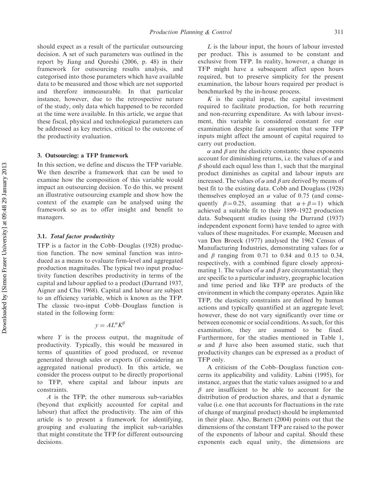should expect as a result of the particular outsourcing decision. A set of such parameters was outlined in the report by Jiang and Qureshi (2006, p. 48) in their framework for outsourcing results analysis, and categorised into those parameters which have available data to be measured and those which are not supported and therefore immeasurable. In that particular instance, however, due to the retrospective nature of the study, only data which happened to be recorded at the time were available. In this article, we argue that these fiscal, physical and technological parameters can be addressed as key metrics, critical to the outcome of the productivity evaluation.

#### 3. Outsourcing: a TFP framework

In this section, we define and discuss the TFP variable. We then describe a framework that can be used to examine how the composition of this variable would impact an outsourcing decision. To do this, we present an illustrative outsourcing example and show how the context of the example can be analysed using the framework so as to offer insight and benefit to managers.

#### 3.1. Total factor productivity

TFP is a factor in the Cobb–Douglas (1928) production function. The now seminal function was introduced as a means to evaluate firm-level and aggregated production magnitudes. The typical two input productivity function describes productivity in terms of the capital and labour applied to a product (Durrand 1937, Aigner and Chu 1968). Capital and labour are subject to an efficiency variable, which is known as the TFP. The classic two-input Cobb–Douglass function is stated in the following form:

 $y = AL^{\alpha} K^{\beta}$ 

where  $Y$  is the process output, the magnitude of productivity. Typically, this would be measured in terms of quantities of good produced, or revenue generated through sales or exports (if considering an aggregated national product). In this article, we consider the process output to be directly proportional to TFP, where capital and labour inputs are constraints.

A is the TFP; the other numerous sub-variables (beyond that explicitly accounted for capital and labour) that affect the productivity. The aim of this article is to present a framework for identifying, grouping and evaluating the implicit sub-variables that might constitute the TFP for different outsourcing decisions.

L is the labour input, the hours of labour invested per product. This is assumed to be constant and exclusive from TFP. In reality, however, a change in TFP might have a subsequent affect upon hours required, but to preserve simplicity for the present examination, the labour hours required per product is benchmarked by the in-house process.

 $K$  is the capital input, the capital investment required to facilitate production, for both recurring and non-recurring expenditure. As with labour investment, this variable is considered constant for our examination despite fair assumption that some TFP inputs might affect the amount of capital required to carry out production.

 $\alpha$  and  $\beta$  are the elasticity constants; these exponents account for diminishing returns, i.e. the values of  $\alpha$  and  $\beta$  should each equal less than 1, such that the marginal product diminishes as capital and labour inputs are increased. The values of  $\alpha$  and  $\beta$  are derived by means of best fit to the existing data. Cobb and Douglass (1928) themselves employed an  $\alpha$  value of 0.75 (and consequently  $\beta = 0.25$ , assuming that  $\alpha + \beta = 1$ ) which achieved a suitable fit to their 1899–1922 production data. Subsequent studies (using the Durrand (1937) independent exponent form) have tended to agree with values of these magnitudes. For example, Meeusen and van Den Broeck (1977) analysed the 1962 Census of Manufacturing Industries, demonstrating values for  $\alpha$ and  $\beta$  ranging from 0.71 to 0.84 and 0.15 to 0.34, respectively, with a combined figure closely approximating 1. The values of  $\alpha$  and  $\beta$  are circumstantial; they are specific to a particular industry, geographic location and time period and like TFP are products of the environment in which the company operates. Again like TFP, the elasticity constraints are defined by human actions and typically quantified at an aggregate level; however, these do not vary significantly over time or between economic or social conditions. As such, for this examination, they are assumed to be fixed. Furthermore, for the studies mentioned in Table 1,  $\alpha$  and  $\beta$  have also been assumed static, such that productivity changes can be expressed as a product of TFP only.

A criticism of the Cobb–Douglass function concerns its applicability and validity. Labini (1995), for instance, argues that the static values assigned to  $\alpha$  and  $\beta$  are insufficient to be able to account for the distribution of production shares, and that a dynamic value (i.e. one that accounts for fluctuations in the rate of change of marginal product) should be implemented in their place. Also, Barnett (2004) points out that the dimensions of the constant TFP are raised to the power of the exponents of labour and capital. Should these exponents each equal unity, the dimensions are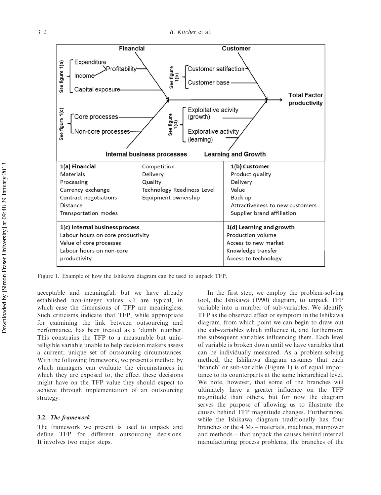

Figure 1. Example of how the Ishikawa diagram can be used to unpack TFP.

acceptable and meaningful, but we have already established non-integer values <1 are typical, in which case the dimensions of TFP are meaningless. Such criticisms indicate that TFP, while appropriate for examining the link between outsourcing and performance, has been treated as a 'dumb' number. This constrains the TFP to a measurable but unintelligible variable unable to help decision makers assess a current, unique set of outsourcing circumstances. With the following framework, we present a method by which managers can evaluate the circumstances in which they are exposed to, the effect these decisions might have on the TFP value they should expect to achieve through implementation of an outsourcing strategy.

#### 3.2. The framework

The framework we present is used to unpack and define TFP for different outsourcing decisions. It involves two major steps.

In the first step, we employ the problem-solving tool, the Ishikawa (1990) diagram, to unpack TFP variable into a number of sub-variables. We identify TFP as the observed effect or symptom in the Ishikawa diagram, from which point we can begin to draw out the sub-variables which influence it, and furthermore the subsequent variables influencing them. Each level of variable is broken down until we have variables that can be individually measured. As a problem-solving method, the Ishikawa diagram assumes that each 'branch' or sub-variable (Figure 1) is of equal importance to its counterparts at the same hierarchical level. We note, however, that some of the branches will ultimately have a greater influence on the TFP magnitude than others, but for now the diagram serves the purpose of allowing us to illustrate the causes behind TFP magnitude changes. Furthermore, while the Ishikawa diagram traditionally has four branches or the 4 Ms – materials, machines, manpower and methods – that unpack the causes behind internal manufacturing process problems, the branches of the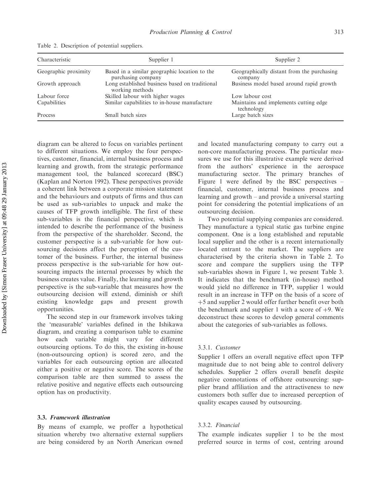| ocatio |  |
|--------|--|

| Characteristic       | Supplier 1                                                          | Supplier 2                                            |  |
|----------------------|---------------------------------------------------------------------|-------------------------------------------------------|--|
| Geographic proximity | Based in a similar geographic location to the<br>purchasing company | Geographically distant from the purchasing<br>company |  |
| Growth approach      | Long established business based on traditional<br>working methods   | Business model based around rapid growth              |  |
| Labour force         | Skilled labour with higher wages                                    | Low labour cost                                       |  |
| Capabilities         | Similar capabilities to in-house manufacture                        | Maintains and implements cutting edge<br>technology   |  |
| Process              | Small batch sizes                                                   | Large batch sizes                                     |  |

diagram can be altered to focus on variables pertinent to different situations. We employ the four perspectives, customer, financial, internal business process and learning and growth, from the strategic performance management tool, the balanced scorecard (BSC) (Kaplan and Norton 1992). These perspectives provide a coherent link between a corporate mission statement and the behaviours and outputs of firms and thus can be used as sub-variables to unpack and make the causes of TFP growth intelligible. The first of these sub-variables is the financial perspective, which is intended to describe the performance of the business from the perspective of the shareholder. Second, the customer perspective is a sub-variable for how outsourcing decisions affect the perception of the customer of the business. Further, the internal business process perspective is the sub-variable for how outsourcing impacts the internal processes by which the business creates value. Finally, the learning and growth perspective is the sub-variable that measures how the outsourcing decision will extend, diminish or shift existing knowledge gaps and present growth opportunities.

Table 2. Description of potential suppliers.

The second step in our framework involves taking the 'measurable' variables defined in the Ishikawa diagram, and creating a comparison table to examine how each variable might vary for different outsourcing options. To do this, the existing in-house (non-outsourcing option) is scored zero, and the variables for each outsourcing option are allocated either a positive or negative score. The scores of the comparison table are then summed to assess the relative positive and negative effects each outsourcing option has on productivity.

#### 3.3. Framework illustration

By means of example, we proffer a hypothetical situation whereby two alternative external suppliers are being considered by an North American owned and located manufacturing company to carry out a non-core manufacturing process. The particular measures we use for this illustrative example were derived from the authors' experience in the aerospace manufacturing sector. The primary branches of Figure 1 were defined by the BSC perspectives – financial, customer, internal business process and learning and growth – and provide a universal starting point for considering the potential implications of an outsourcing decision.

Two potential supplying companies are considered. They manufacture a typical static gas turbine engine component. One is a long established and reputable local supplier and the other is a recent internationally located entrant to the market. The suppliers are characterised by the criteria shown in Table 2. To score and compare the suppliers using the TFP sub-variables shown in Figure 1, we present Table 3. It indicates that the benchmark (in-house) method would yield no difference in TFP, supplier 1 would result in an increase in TFP on the basis of a score of +5 and supplier 2 would offer further benefit over both the benchmark and supplier 1 with a score of  $+9$ . We deconstruct these scores to develop general comments about the categories of sub-variables as follows.

#### 3.3.1. Customer

Supplier 1 offers an overall negative effect upon TFP magnitude due to not being able to control delivery schedules. Supplier 2 offers overall benefit despite negative connotations of offshore outsourcing: supplier brand affiliation and the attractiveness to new customers both suffer due to increased perception of quality escapes caused by outsourcing.

#### 3.3.2. Financial

The example indicates supplier 1 to be the most preferred source in terms of cost, centring around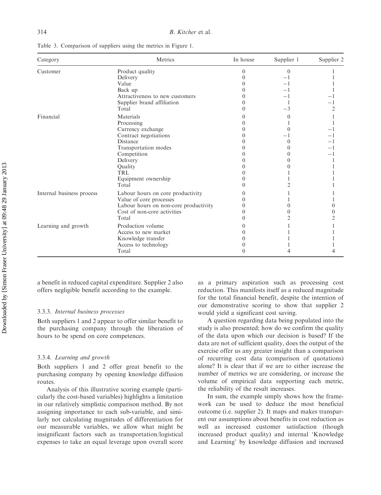| Category                  | Metrics                               | In house | Supplier 1 | Supplier 2 |
|---------------------------|---------------------------------------|----------|------------|------------|
| Customer                  | Product quality                       | $\theta$ | $\Omega$   |            |
|                           | Delivery                              |          |            |            |
|                           | Value                                 |          |            |            |
|                           | Back up                               |          |            |            |
|                           | Attractiveness to new customers       |          | - 1        |            |
|                           | Supplier brand affiliation            |          |            |            |
|                           | Total                                 |          | $-3$       |            |
| Financial                 | Materials                             |          |            |            |
|                           | Processing                            |          |            |            |
|                           | Currency exchange                     |          |            |            |
|                           | Contract negotiations                 |          |            |            |
|                           | <b>Distance</b>                       |          |            |            |
|                           | Transportation modes                  |          |            |            |
|                           | Competition                           |          |            |            |
|                           | Delivery                              |          |            |            |
|                           | Quality                               |          |            |            |
|                           | TRL                                   |          |            |            |
|                           | Equipment ownership                   |          |            |            |
|                           | Total                                 |          |            |            |
| Internal business process | Labour hours on core productivity     |          |            |            |
|                           | Value of core processes               |          |            |            |
|                           | Labour hours on non-core productivity |          |            |            |
|                           | Cost of non-core activities           |          |            |            |
|                           | Total                                 |          |            |            |
| Learning and growth       | Production volume                     |          |            |            |
|                           | Access to new market                  |          |            |            |
|                           | Knowledge transfer                    |          |            |            |
|                           | Access to technology                  |          |            |            |
|                           | Total                                 |          |            |            |

Table 3. Comparison of suppliers using the metrics in Figure 1.

a benefit in reduced capital expenditure. Supplier 2 also offers negligible benefit according to the example.

#### 3.3.3. Internal business processes

Both suppliers 1 and 2 appear to offer similar benefit to the purchasing company through the liberation of hours to be spend on core competences.

#### 3.3.4. Learning and growth

Both suppliers 1 and 2 offer great benefit to the purchasing company by opening knowledge diffusion routes.

Analysis of this illustrative scoring example (particularly the cost-based variables) highlights a limitation in our relatively simplistic comparison method. By not assigning importance to each sub-variable, and similarly not calculating magnitudes of differentiation for our measurable variables, we allow what might be insignificant factors such as transportation/logistical expenses to take an equal leverage upon overall score as a primary aspiration such as processing cost reduction. This manifests itself as a reduced magnitude for the total financial benefit, despite the intention of our demonstrative scoring to show that supplier 2 would yield a significant cost saving.

A question regarding data being populated into the study is also presented; how do we confirm the quality of the data upon which our decision is based? If the data are not of sufficient quality, does the output of the exercise offer us any greater insight than a comparison of recurring cost data (comparison of quotations) alone? It is clear that if we are to either increase the number of metrics we are considering, or increase the volume of empirical data supporting each metric, the reliability of the result increases.

In sum, the example simply shows how the framework can be used to deduce the most beneficial outcome (i.e. supplier 2). It maps and makes transparent our assumptions about benefits in cost reduction as well as increased customer satisfaction (though increased product quality) and internal 'Knowledge and Learning' by knowledge diffusion and increased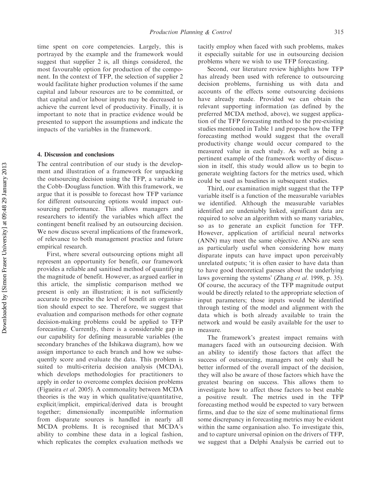time spent on core competencies. Largely, this is portrayed by the example and the framework would suggest that supplier 2 is, all things considered, the most favourable option for production of the component. In the context of TFP, the selection of supplier 2 would facilitate higher production volumes if the same capital and labour resources are to be committed, or that capital and/or labour inputs may be decreased to achieve the current level of productivity. Finally, it is important to note that in practice evidence would be presented to support the assumptions and indicate the impacts of the variables in the framework.

#### 4. Discussion and conclusions

The central contribution of our study is the development and illustration of a framework for unpacking the outsourcing decision using the TFP, a variable in the Cobb–Douglass function. With this framework, we argue that it is possible to forecast how TFP variance for different outsourcing options would impact outsourcing performance. This allows managers and researchers to identify the variables which affect the contingent benefit realised by an outsourcing decision. We now discuss several implications of the framework, of relevance to both management practice and future empirical research.

First, where several outsourcing options might all represent an opportunity for benefit, our framework provides a reliable and sanitised method of quantifying the magnitude of benefit. However, as argued earlier in this article, the simplistic comparison method we present is only an illustration; it is not sufficiently accurate to prescribe the level of benefit an organisation should expect to see. Therefore, we suggest that evaluation and comparison methods for other cognate decision-making problems could be applied to TFP forecasting. Currently, there is a considerable gap in our capability for defining measurable variables (the secondary branches of the Ishikawa diagram), how we assign importance to each branch and how we subsequently score and evaluate the data. This problem is suited to multi-criteria decision analysis (MCDA), which develops methodologies for practitioners to apply in order to overcome complex decision problems (Figueira et al. 2005). A commonality between MCDA theories is the way in which qualitative/quantitative, explicit/implicit, empirical/derived data is brought together; dimensionally incompatible information from disparate sources is handled in nearly all MCDA problems. It is recognised that MCDA's ability to combine these data in a logical fashion, which replicates the complex evaluation methods we

tacitly employ when faced with such problems, makes it especially suitable for use in outsourcing decision problems where we wish to use TFP forecasting.

Second, our literature review highlights how TFP has already been used with reference to outsourcing decision problems, furnishing us with data and accounts of the effects some outsourcing decisions have already made. Provided we can obtain the relevant supporting information (as defined by the preferred MCDA method, above), we suggest application of the TFP forecasting method to the pre-existing studies mentioned in Table 1 and propose how the TFP forecasting method would suggest that the overall productivity change would occur compared to the measured value in each study. As well as being a pertinent example of the framework worthy of discussion in itself, this study would allow us to begin to generate weighting factors for the metrics used, which could be used as baselines in subsequent studies.

Third, our examination might suggest that the TFP variable itself is a function of the measurable variables we identified. Although the measurable variables identified are undeniably linked, significant data are required to solve an algorithm with so many variables, so as to generate an explicit function for TFP. However, application of artificial neural networks (ANN) may meet the same objective. ANNs are seen as particularly useful when considering how many disparate inputs can have impact upon perceivably unrelated outputs; 'it is often easier to have data than to have good theoretical guesses about the underlying laws governing the systems' (Zhang et al. 1998, p. 35). Of course, the accuracy of the TFP magnitude output would be directly related to the appropriate selection of input parameters; those inputs would be identified through testing of the model and alignment with the data which is both already available to train the network and would be easily available for the user to measure.

The framework's greatest impact remains with managers faced with an outsourcing decision. With an ability to identify those factors that affect the success of outsourcing, managers not only shall be better informed of the overall impact of the decision, they will also be aware of those factors which have the greatest bearing on success. This allows them to investigate how to affect those factors to best enable a positive result. The metrics used in the TFP forecasting method would be expected to vary between firms, and due to the size of some multinational firms some discrepancy in forecasting metrics may be evident within the same organisation also. To investigate this, and to capture universal opinion on the drivers of TFP, we suggest that a Delphi Analysis be carried out to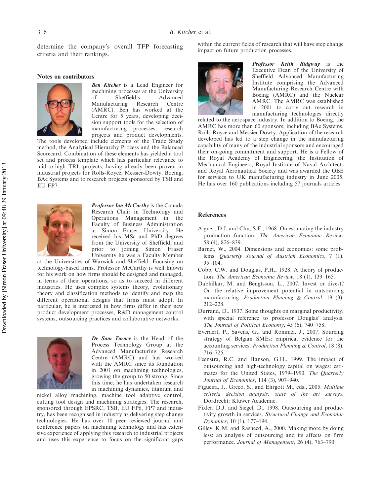determine the company's overall TFP forecasting criteria and their rankings.

#### Notes on contributors



Ben Kitcher is a Lead Engineer for machining processes at the University<br>of Sheffield's Advanced Advanced Manufacturing Research Centre (AMRC). Ben has worked at the Centre for 5 years, developing decision support tools for the selection of manufacturing processes, research projects and product developments.

The tools developed include elements of the Trade Study method, the Analytical Hierarchy Process and the Balanced Scorecard. Combination of these elements has yielded a tool set and process template which has particular relevance to mid-to-high TRL projects, having already been proven in industrial projects for Rolls-Royce, Messier-Dowty, Boeing, BAe Systems and to research projects sponsored by TSB and EU FP7.



Professor Ian McCarthy is the Canada Research Chair in Technology and Operations Management in the Faculty of Business Administration at Simon Fraser University. He received his MSc and PhD degrees from the University of Sheffield, and prior to joining Simon Fraser University he was a Faculty Member

at the Universities of Warwick and Sheffield. Focusing on technology-based firms, Professor McCarthy is well known for his work on how firms should be designed and managed, in terms of their operations, so as to succeed in different industries. He uses complex systems theory, evolutionary theory and classification methods to identify and map the different operational designs that firms must adopt. In particular, he is interested in how firms differ in their new product development processes, R&D management control systems, outsourcing practices and collaborative networks.



Dr Sam Turner is the Head of the Process Technology Group at the Advanced Manufacturing Research Centre (AMRC) and has worked with the AMRC since its foundation in 2001 on machining technologies, growing the group to 50 strong. Since this time, he has undertaken research in machining dynamics, titanium and

nickel alloy machining, machine tool adaptive control, cutting tool design and machining strategies. The research, sponsored through EPSRC, TSB, EU FP6, FP7 and industry, has been recognised in industry as delivering step change technologies. He has over 10 peer reviewed journal and conference papers on machining technology and has extensive experience of applying this research to industrial projects and uses this experience to focus on the significant gaps within the current fields of research that will have step change impact on future production processes.



Professor Keith Ridgway is the Executive Dean of the University of Sheffield Advanced Manufacturing Institute comprising the Advanced Manufacturing Research Centre with Boeing (AMRC) and the Nuclear AMRC. The AMRC was established in 2001 to carry out research in manufacturing technologies directly

related to the aerospace industry. In addition to Boeing, the AMRC has more than 60 sponsors, including BAe Systems, Rolls-Royce and Messier Dowty. Application of the research developed has led to a step change in the manufacturing capability of many of the industrial sponsors and encouraged their on-going commitment and support. He is a Fellow of the Royal Academy of Engineering, the Institution of Mechanical Engineers, Royal Institute of Naval Architects and Royal Aeronautical Society and was awarded the OBE for services to UK manufacturing industry in June 2005. He has over 160 publications including 57 journals articles.

#### **References**

- Aigner, D.J. and Chu, S.F., 1968. On estimating the industry production function. The American Economic Review, 58 (4), 826–839.
- Barnet, W., 2004. Dimensions and economics: some problems. Quarterly Journal of Austrian Economics, 7 (1), 95–104.
- Cobb, C.W. and Douglas, P.H., 1928. A theory of production. The American Economic Review, 18 (1), 139–165.
- Dabhilkar, M. and Bengtsson, L., 2007. Invest or divest? On the relative improvement potential in outsourcing manufacturing. Production Planning & Control, 19 (3), 212–228.
- Durrand, D., 1937. Some thoughts on marginal productivity, with special reference to professor Douglas' analysis. The Journal of Political Economy, 45 (6), 740–758.
- Everaert, P., Savens, G., and Rommel, J., 2007. Sourcing strategy of Belgian SMEs: empirical evidence for the accounting services. Production Planning & Control, 18 (8), 716–725.
- Feenstra, R.C. and Hanson, G.H., 1999. The impact of outsourcing and high-technology capital on wages: estimates for the United States, 1979–1990. The Quarterly Journal of Economics, 114 (3), 907–940.
- Figueira, J., Greco, S., and Ehrgott M., eds., 2005. Multiple criteria decision analysis: state of the art surveys. Dordrecht: Kluwer Academic.
- Fixler, D.J. and Siegel, D., 1998. Outsourcing and productivity growth in services. Structural Change and Economic Dynamics, 10 (1), 177–194.
- Gilley, K.M. and Rasheed, A., 2000. Making more by doing less: an analysis of outsourcing and its affects on firm performance. Journal of Management, 26 (4), 763–790.